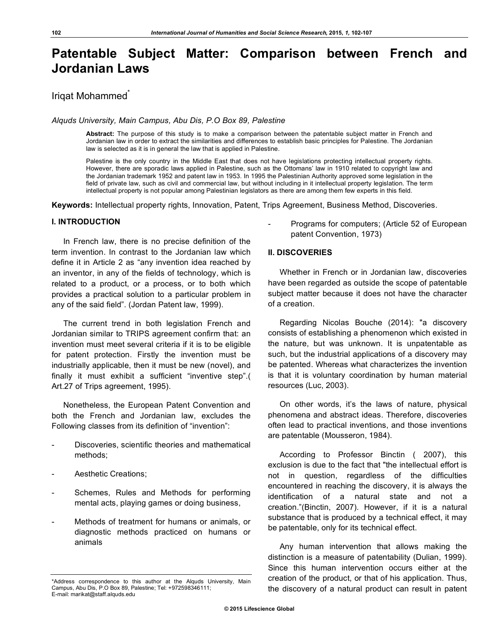# **Patentable Subject Matter: Comparison between French and Jordanian Laws**

## Iriqat Mohammed<sup>^</sup>

*Alquds University, Main Campus, Abu Dis, P.O Box 89, Palestine* 

**Abstract:** The purpose of this study is to make a comparison between the patentable subject matter in French and Jordanian law in order to extract the similarities and differences to establish basic principles for Palestine. The Jordanian law is selected as it is in general the law that is applied in Palestine.

Palestine is the only country in the Middle East that does not have legislations protecting intellectual property rights. However, there are sporadic laws applied in Palestine, such as the Ottomans' law in 1910 related to copyright law and the Jordanian trademark 1952 and patent law in 1953. In 1995 the Palestinian Authority approved some legislation in the field of private law, such as civil and commercial law, but without including in it intellectual property legislation. The term intellectual property is not popular among Palestinian legislators as there are among them few experts in this field.

**Keywords:** Intellectual property rights, Innovation, Patent, Trips Agreement, Business Method, Discoveries.

#### **I. INTRODUCTION**

In French law, there is no precise definition of the term invention. In contrast to the Jordanian law which define it in Article 2 as "any invention idea reached by an inventor, in any of the fields of technology, which is related to a product, or a process, or to both which provides a practical solution to a particular problem in any of the said field". (Jordan Patent law, 1999).

The current trend in both legislation French and Jordanian similar to TRIPS agreement confirm that: an invention must meet several criteria if it is to be eligible for patent protection. Firstly the invention must be industrially applicable, then it must be new (novel), and finally it must exhibit a sufficient "inventive step".( Art.27 of Trips agreement, 1995).

Nonetheless, the European Patent Convention and both the French and Jordanian law, excludes the Following classes from its definition of "invention":

- Discoveries, scientific theories and mathematical methods;
- Aesthetic Creations:
- Schemes, Rules and Methods for performing mental acts, playing games or doing business,
- Methods of treatment for humans or animals, or diagnostic methods practiced on humans or animals

Programs for computers; (Article 52 of European patent Convention, 1973)

#### **II. DISCOVERIES**

Whether in French or in Jordanian law, discoveries have been regarded as outside the scope of patentable subject matter because it does not have the character of a creation.

Regarding Nicolas Bouche (2014): "a discovery consists of establishing a phenomenon which existed in the nature, but was unknown. It is unpatentable as such, but the industrial applications of a discovery may be patented. Whereas what characterizes the invention is that it is voluntary coordination by human material resources (Luc, 2003).

On other words, it's the laws of nature, physical phenomena and abstract ideas. Therefore, discoveries often lead to practical inventions, and those inventions are patentable (Mousseron, 1984).

According to Professor Binctin ( 2007), this exclusion is due to the fact that "the intellectual effort is not in question, regardless of the difficulties encountered in reaching the discovery, it is always the identification of a natural state and not a creation."(Binctin, 2007). However, if it is a natural substance that is produced by a technical effect, it may be patentable, only for its technical effect.

Any human intervention that allows making the distinction is a measure of patentability (Dulian, 1999). Since this human intervention occurs either at the creation of the product, or that of his application. Thus, the discovery of a natural product can result in patent

<sup>\*</sup>Address correspondence to this author at the Alquds University, Main Campus, Abu Dis, P.O Box 89, Palestine; Tel: +972598346111; E-mail: marikat@staff.alquds.edu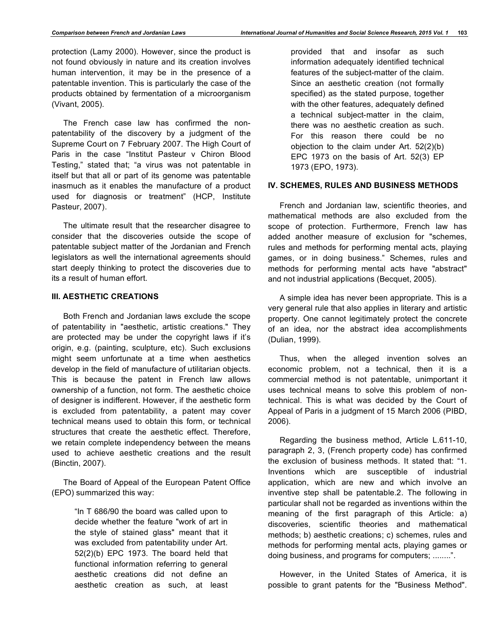protection (Lamy 2000). However, since the product is not found obviously in nature and its creation involves human intervention, it may be in the presence of a patentable invention. This is particularly the case of the products obtained by fermentation of a microorganism (Vivant, 2005).

The French case law has confirmed the nonpatentability of the discovery by a judgment of the Supreme Court on 7 February 2007. The High Court of Paris in the case "Institut Pasteur v Chiron Blood Testing," stated that; "a virus was not patentable in itself but that all or part of its genome was patentable inasmuch as it enables the manufacture of a product used for diagnosis or treatment" (HCP, Institute Pasteur, 2007).

The ultimate result that the researcher disagree to consider that the discoveries outside the scope of patentable subject matter of the Jordanian and French legislators as well the international agreements should start deeply thinking to protect the discoveries due to its a result of human effort.

#### **III. AESTHETIC CREATIONS**

Both French and Jordanian laws exclude the scope of patentability in "aesthetic, artistic creations." They are protected may be under the copyright laws if it's origin, e.g. (painting, sculpture, etc). Such exclusions might seem unfortunate at a time when aesthetics develop in the field of manufacture of utilitarian objects. This is because the patent in French law allows ownership of a function, not form. The aesthetic choice of designer is indifferent. However, if the aesthetic form is excluded from patentability, a patent may cover technical means used to obtain this form, or technical structures that create the aesthetic effect. Therefore, we retain complete independency between the means used to achieve aesthetic creations and the result (Binctin, 2007).

The Board of Appeal of the European Patent Office (EPO) summarized this way:

> "In T 686/90 the board was called upon to decide whether the feature "work of art in the style of stained glass" meant that it was excluded from patentability under Art. 52(2)(b) EPC 1973. The board held that functional information referring to general aesthetic creations did not define an aesthetic creation as such, at least

provided that and insofar as such information adequately identified technical features of the subject-matter of the claim. Since an aesthetic creation (not formally specified) as the stated purpose, together with the other features, adequately defined a technical subject-matter in the claim, there was no aesthetic creation as such. For this reason there could be no objection to the claim under Art. 52(2)(b) EPC 1973 on the basis of Art. 52(3) EP 1973 (EPO, 1973).

### **IV. SCHEMES, RULES AND BUSINESS METHODS**

French and Jordanian law, scientific theories, and mathematical methods are also excluded from the scope of protection. Furthermore, French law has added another measure of exclusion for "schemes, rules and methods for performing mental acts, playing games, or in doing business." Schemes, rules and methods for performing mental acts have "abstract" and not industrial applications (Becquet, 2005).

A simple idea has never been appropriate. This is a very general rule that also applies in literary and artistic property. One cannot legitimately protect the concrete of an idea, nor the abstract idea accomplishments (Dulian, 1999).

Thus, when the alleged invention solves an economic problem, not a technical, then it is a commercial method is not patentable, unimportant it uses technical means to solve this problem of nontechnical. This is what was decided by the Court of Appeal of Paris in a judgment of 15 March 2006 (PIBD, 2006).

Regarding the business method, Article L.611-10, paragraph 2, 3, (French property code) has confirmed the exclusion of business methods. It stated that: "1. Inventions which are susceptible of industrial application, which are new and which involve an inventive step shall be patentable.2. The following in particular shall not be regarded as inventions within the meaning of the first paragraph of this Article: a) discoveries, scientific theories and mathematical methods; b) aesthetic creations; c) schemes, rules and methods for performing mental acts, playing games or doing business, and programs for computers; ........".

However, in the United States of America, it is possible to grant patents for the "Business Method".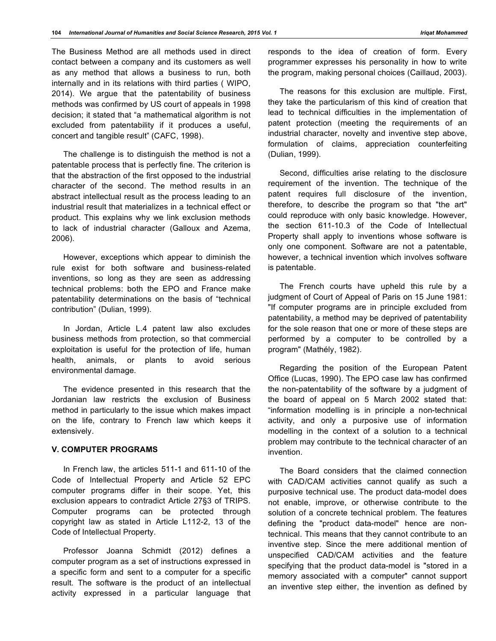The Business Method are all methods used in direct contact between a company and its customers as well as any method that allows a business to run, both internally and in its relations with third parties ( WIPO, 2014). We argue that the patentability of business methods was confirmed by US court of appeals in 1998 decision; it stated that "a mathematical algorithm is not excluded from patentability if it produces a useful, concert and tangible result" (CAFC, 1998).

The challenge is to distinguish the method is not a patentable process that is perfectly fine. The criterion is that the abstraction of the first opposed to the industrial character of the second. The method results in an abstract intellectual result as the process leading to an industrial result that materializes in a technical effect or product. This explains why we link exclusion methods to lack of industrial character (Galloux and Azema, 2006).

However, exceptions which appear to diminish the rule exist for both software and business-related inventions, so long as they are seen as addressing technical problems: both the EPO and France make patentability determinations on the basis of "technical contribution" (Dulian, 1999).

In Jordan, Article L.4 patent law also excludes business methods from protection, so that commercial exploitation is useful for the protection of life, human health, animals, or plants to avoid serious environmental damage.

The evidence presented in this research that the Jordanian law restricts the exclusion of Business method in particularly to the issue which makes impact on the life, contrary to French law which keeps it extensively.

## **V. COMPUTER PROGRAMS**

In French law, the articles 511-1 and 611-10 of the Code of Intellectual Property and Article 52 EPC computer programs differ in their scope. Yet, this exclusion appears to contradict Article 27§3 of TRIPS. Computer programs can be protected through copyright law as stated in Article L112-2, 13 of the Code of Intellectual Property.

Professor Joanna Schmidt (2012) defines a computer program as a set of instructions expressed in a specific form and sent to a computer for a specific result. The software is the product of an intellectual activity expressed in a particular language that

responds to the idea of creation of form. Every programmer expresses his personality in how to write the program, making personal choices (Caillaud, 2003).

The reasons for this exclusion are multiple. First, they take the particularism of this kind of creation that lead to technical difficulties in the implementation of patent protection (meeting the requirements of an industrial character, novelty and inventive step above, formulation of claims, appreciation counterfeiting (Dulian, 1999).

Second, difficulties arise relating to the disclosure requirement of the invention. The technique of the patent requires full disclosure of the invention, therefore, to describe the program so that "the art" could reproduce with only basic knowledge. However, the section 611-10.3 of the Code of Intellectual Property shall apply to inventions whose software is only one component. Software are not a patentable, however, a technical invention which involves software is patentable.

The French courts have upheld this rule by a judgment of Court of Appeal of Paris on 15 June 1981: "If computer programs are in principle excluded from patentability, a method may be deprived of patentability for the sole reason that one or more of these steps are performed by a computer to be controlled by a program" (Mathély, 1982).

Regarding the position of the European Patent Office (Lucas, 1990). The EPO case law has confirmed the non-patentability of the software by a judgment of the board of appeal on 5 March 2002 stated that: "information modelling is in principle a non-technical activity, and only a purposive use of information modelling in the context of a solution to a technical problem may contribute to the technical character of an invention.

The Board considers that the claimed connection with CAD/CAM activities cannot qualify as such a purposive technical use. The product data-model does not enable, improve, or otherwise contribute to the solution of a concrete technical problem. The features defining the "product data-model" hence are nontechnical. This means that they cannot contribute to an inventive step. Since the mere additional mention of unspecified CAD/CAM activities and the feature specifying that the product data-model is "stored in a memory associated with a computer" cannot support an inventive step either, the invention as defined by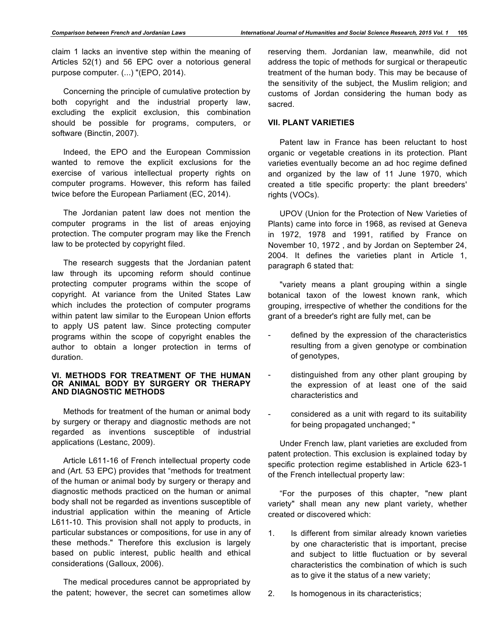claim 1 lacks an inventive step within the meaning of Articles 52(1) and 56 EPC over a notorious general purpose computer. (...) "(EPO, 2014).

Concerning the principle of cumulative protection by both copyright and the industrial property law, excluding the explicit exclusion, this combination should be possible for programs, computers, or software (Binctin, 2007).

Indeed, the EPO and the European Commission wanted to remove the explicit exclusions for the exercise of various intellectual property rights on computer programs. However, this reform has failed twice before the European Parliament (EC, 2014).

The Jordanian patent law does not mention the computer programs in the list of areas enjoying protection. The computer program may like the French law to be protected by copyright filed.

The research suggests that the Jordanian patent law through its upcoming reform should continue protecting computer programs within the scope of copyright. At variance from the United States Law which includes the protection of computer programs within patent law similar to the European Union efforts to apply US patent law. Since protecting computer programs within the scope of copyright enables the author to obtain a longer protection in terms of duration.

#### **VI. METHODS FOR TREATMENT OF THE HUMAN OR ANIMAL BODY BY SURGERY OR THERAPY AND DIAGNOSTIC METHODS**

Methods for treatment of the human or animal body by surgery or therapy and diagnostic methods are not regarded as inventions susceptible of industrial applications (Lestanc, 2009).

Article L611-16 of French intellectual property code and (Art. 53 EPC) provides that "methods for treatment of the human or animal body by surgery or therapy and diagnostic methods practiced on the human or animal body shall not be regarded as inventions susceptible of industrial application within the meaning of Article L611-10. This provision shall not apply to products, in particular substances or compositions, for use in any of these methods." Therefore this exclusion is largely based on public interest, public health and ethical considerations (Galloux, 2006).

The medical procedures cannot be appropriated by the patent; however, the secret can sometimes allow reserving them. Jordanian law, meanwhile, did not address the topic of methods for surgical or therapeutic treatment of the human body. This may be because of the sensitivity of the subject, the Muslim religion; and customs of Jordan considering the human body as sacred.

## **VII. PLANT VARIETIES**

Patent law in France has been reluctant to host organic or vegetable creations in its protection. Plant varieties eventually become an ad hoc regime defined and organized by the law of 11 June 1970, which created a title specific property: the plant breeders' rights (VOCs).

UPOV (Union for the Protection of New Varieties of Plants) came into force in 1968, as revised at Geneva in 1972, 1978 and 1991, ratified by France on November 10, 1972 , and by Jordan on September 24, 2004. It defines the varieties plant in Article 1, paragraph 6 stated that:

"variety means a plant grouping within a single botanical taxon of the lowest known rank, which grouping, irrespective of whether the conditions for the grant of a breeder's right are fully met, can be

- defined by the expression of the characteristics resulting from a given genotype or combination of genotypes,
- distinguished from any other plant grouping by the expression of at least one of the said characteristics and
- considered as a unit with regard to its suitability for being propagated unchanged; "

Under French law, plant varieties are excluded from patent protection. This exclusion is explained today by specific protection regime established in Article 623-1 of the French intellectual property law:

"For the purposes of this chapter, "new plant variety" shall mean any new plant variety, whether created or discovered which:

1. Is different from similar already known varieties by one characteristic that is important, precise and subject to little fluctuation or by several characteristics the combination of which is such as to give it the status of a new variety;

2. Is homogenous in its characteristics;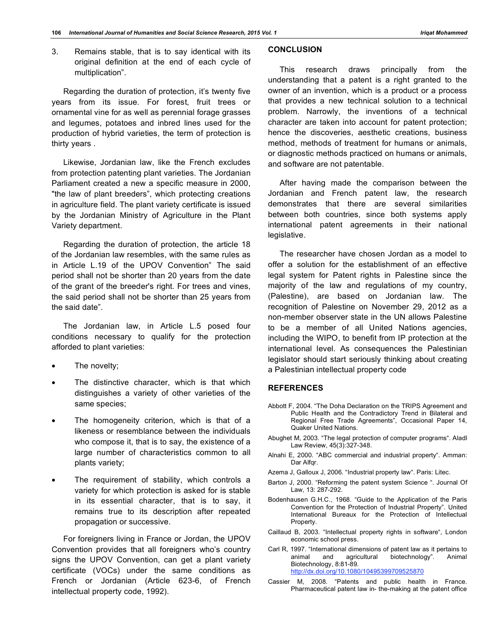3. Remains stable, that is to say identical with its original definition at the end of each cycle of multiplication".

Regarding the duration of protection, it's twenty five years from its issue. For forest, fruit trees or ornamental vine for as well as perennial forage grasses and legumes, potatoes and inbred lines used for the production of hybrid varieties, the term of protection is thirty years .

Likewise, Jordanian law, like the French excludes from protection patenting plant varieties. The Jordanian Parliament created a new a specific measure in 2000, "the law of plant breeders", which protecting creations in agriculture field. The plant variety certificate is issued by the Jordanian Ministry of Agriculture in the Plant Variety department.

Regarding the duration of protection, the article 18 of the Jordanian law resembles, with the same rules as in Article L.19 of the UPOV Convention" The said period shall not be shorter than 20 years from the date of the grant of the breeder's right. For trees and vines, the said period shall not be shorter than 25 years from the said date".

The Jordanian law, in Article L.5 posed four conditions necessary to qualify for the protection afforded to plant varieties:

- The novelty;
- The distinctive character, which is that which distinguishes a variety of other varieties of the same species;
- The homogeneity criterion, which is that of a likeness or resemblance between the individuals who compose it, that is to say, the existence of a large number of characteristics common to all plants variety;
- The requirement of stability, which controls a variety for which protection is asked for is stable in its essential character, that is to say, it remains true to its description after repeated propagation or successive.

For foreigners living in France or Jordan, the UPOV Convention provides that all foreigners who's country signs the UPOV Convention, can get a plant variety certificate (VOCs) under the same conditions as French or Jordanian (Article 623-6, of French intellectual property code, 1992).

## **CONCLUSION**

This research draws principally from the understanding that a patent is a right granted to the owner of an invention, which is a product or a process that provides a new technical solution to a technical problem. Narrowly, the inventions of a technical character are taken into account for patent protection; hence the discoveries, aesthetic creations, business method, methods of treatment for humans or animals, or diagnostic methods practiced on humans or animals, and software are not patentable.

After having made the comparison between the Jordanian and French patent law, the research demonstrates that there are several similarities between both countries, since both systems apply international patent agreements in their national legislative.

The researcher have chosen Jordan as a model to offer a solution for the establishment of an effective legal system for Patent rights in Palestine since the majority of the law and regulations of my country, (Palestine), are based on Jordanian law. The recognition of Palestine on November 29, 2012 as a non-member observer state in the UN allows Palestine to be a member of all United Nations agencies, including the WIPO, to benefit from IP protection at the international level. As consequences the Palestinian legislator should start seriously thinking about creating a Palestinian intellectual property code

#### **REFERENCES**

- Abbott F, 2004. "The Doha Declaration on the TRIPS Agreement and Public Health and the Contradictory Trend in Bilateral and Regional Free Trade Agreements", Occasional Paper 14, Quaker United Nations.
- Abughet M, 2003. "The legal protection of computer programs". Aladl Law Review, 45(3):327-348.
- Alnahi E, 2000. "ABC commercial and industrial property". Amman: Dar Alfqr.
- Azema J, Galloux J, 2006. "Industrial property law". Paris: Litec.
- Barton J, 2000. "Reforming the patent system Science ". Journal Of Law, 13: 287-292.
- Bodenhausen G.H.C., 1968. "Guide to the Application of the Paris Convention for the Protection of Industrial Property". United International Bureaux for the Protection of Intellectual Property.
- Caillaud B, 2003. "Intellectual property rights in software", London economic school press.
- Carl R, 1997. "International dimensions of patent law as it pertains to animal and agricultural biotechnology". Animal Biotechnology, 8:81-89. http://dx.doi.org/10.1080/10495399709525870
- Cassier M, 2008. "Patents and public health in France. Pharmaceutical patent law in- the-making at the patent office